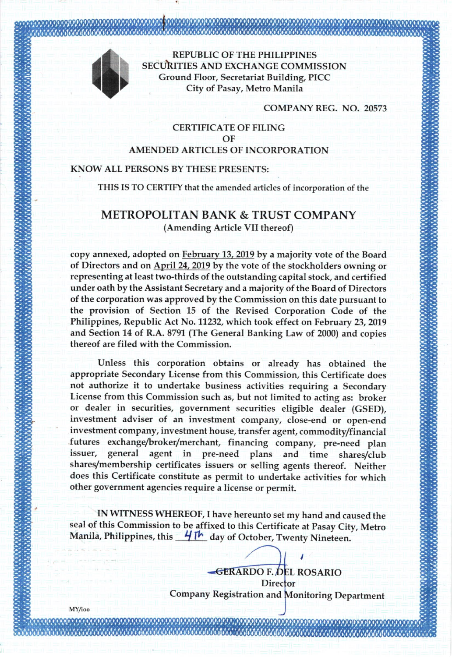

MY/ioo

REPUBLIC OF THE PHILIPPINES SECUhITIES AND EXCHANGE COMMISSION Ground Floor, Secretariat Building, PICC City of Pasay, Metro Manila

COMPANY REG. NO. 20573

## CERTIFICATE OF FILING OF AMENDED ARTICLES OF INCORPORATION

### KNOW ALL PERSONS BY THESE PRESENTS:

THIS IS TO CERTIFY that the amended articles of incorporation of the

# METROPOLTTAN BANK & TRUST COMPANY (Amending Article VII thereof)

copy annexed, adopted on February 13. 2019 by a majority vote of the Board of Directors and on April 24, 2019 by the vote of the stockholders owning or representing at least two-thirds of the outstanding capital stock, and certified under oath by the Assistant Secretary and a majority of the Board of Directors of the corporation was approved by the Commission on this date pursuant to the provision of Section 15 of the Revised Corporation Code of the Philippines, Republic Act No. 11232, which took effect on February 23,2019 and Section 14 of R.A.8791 (The General Banking Law of 2000) and copies thereof are filed with the Commission.

Unless this corporation obtains or already has obtained the appropriate Secondary License from this Commission, this Certificate does not authorize it to undertake business activities requiring a Secondary License from this Commission such as, but not limited to acting as: broker or dealer in securities, government securities eligible dealer (GSED), investment adviser of an investment company, close-end or open-end investment company, investment house, transfer agent, commodity/financial futures exchange/broker/merchant, financing company, pre-need plan issuer, general agent in pre-need plans and time shares/club shares/membership certificates issuers or selling agents thereof. Neither does this Certificate constitute as permit to undertake activities for which other government agencies require a Iicense or permit.

IN WITNESS WHEREOF, I have hereunto set my hand and caused the seal of this Commission to be affixed to this Certificate at Pasay City, Metro Manila, Philippines, this  $\frac{4}{1}$   $\frac{1}{1}$  day of October, Twenty Nineteen.

RDO F. ROSARIO **Director** Company Registration and Monitoring Department

I